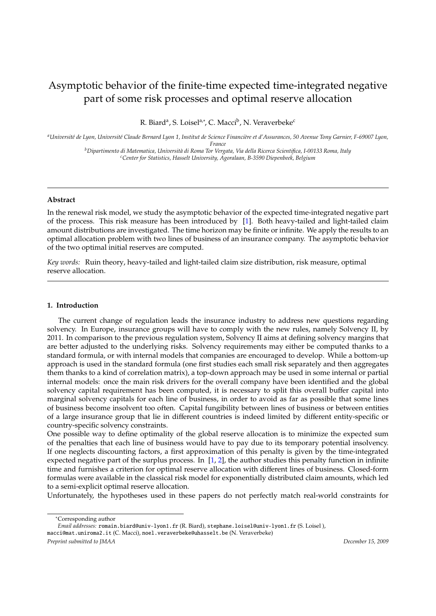# Asymptotic behavior of the finite-time expected time-integrated negative part of some risk processes and optimal reserve allocation

R. Biard<sup>a</sup>, S. Loisel<sup>a,\*</sup>, C. Macci<sup>b</sup>, N. Veraverbeke<sup>c</sup>

*<sup>a</sup>Université de Lyon, Université Claude Bernard Lyon 1, Institut de Science Financière et d'Assurances, 50 Avenue Tony Garnier, F-69007 Lyon, France*

*<sup>b</sup>Dipartimento di Matematica, Università di Roma Tor Vergata, Via della Ricerca Scientifica, I-00133 Roma, Italy <sup>c</sup>Center for Statistics, Hasselt University, Agoralaan, B-3590 Diepenbeek, Belgium*

# **Abstract**

In the renewal risk model, we study the asymptotic behavior of the expected time-integrated negative part of the process. This risk measure has been introduced by [\[1\]](#page-17-0). Both heavy-tailed and light-tailed claim amount distributions are investigated. The time horizon may be finite or infinite. We apply the results to an optimal allocation problem with two lines of business of an insurance company. The asymptotic behavior of the two optimal initial reserves are computed.

*Key words:* Ruin theory, heavy-tailed and light-tailed claim size distribution, risk measure, optimal reserve allocation.

## **1. Introduction**

The current change of regulation leads the insurance industry to address new questions regarding solvency. In Europe, insurance groups will have to comply with the new rules, namely Solvency II, by 2011. In comparison to the previous regulation system, Solvency II aims at defining solvency margins that are better adjusted to the underlying risks. Solvency requirements may either be computed thanks to a standard formula, or with internal models that companies are encouraged to develop. While a bottom-up approach is used in the standard formula (one first studies each small risk separately and then aggregates them thanks to a kind of correlation matrix), a top-down approach may be used in some internal or partial internal models: once the main risk drivers for the overall company have been identified and the global solvency capital requirement has been computed, it is necessary to split this overall buffer capital into marginal solvency capitals for each line of business, in order to avoid as far as possible that some lines of business become insolvent too often. Capital fungibility between lines of business or between entities of a large insurance group that lie in different countries is indeed limited by different entity-specific or country-specific solvency constraints.

One possible way to define optimality of the global reserve allocation is to minimize the expected sum of the penalties that each line of business would have to pay due to its temporary potential insolvency. If one neglects discounting factors, a first approximation of this penalty is given by the time-integrated expected negative part of the surplus process. In  $[1, 2]$  $[1, 2]$  $[1, 2]$ , the author studies this penalty function in infinite time and furnishes a criterion for optimal reserve allocation with different lines of business. Closed-form formulas were available in the classical risk model for exponentially distributed claim amounts, which led to a semi-explicit optimal reserve allocation.

Unfortunately, the hypotheses used in these papers do not perfectly match real-world constraints for

*Preprint submitted to JMAA December 15, 2009*

<sup>∗</sup>Corresponding author

*Email addresses:* romain.biard@univ-lyon1.fr (R. Biard), stephane.loisel@univ-lyon1.fr (S. Loisel ), macci@mat.uniroma2.it (C. Macci), noel.veraverbeke@uhasselt.be (N. Veraverbeke)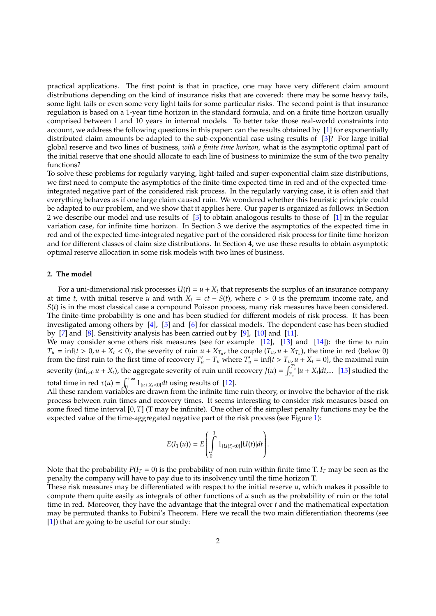practical applications. The first point is that in practice, one may have very different claim amount distributions depending on the kind of insurance risks that are covered: there may be some heavy tails, some light tails or even some very light tails for some particular risks. The second point is that insurance regulation is based on a 1-year time horizon in the standard formula, and on a finite time horizon usually comprised between 1 and 10 years in internal models. To better take those real-world constraints into account, we address the following questions in this paper: can the results obtained by [\[1\]](#page-17-0) for exponentially distributed claim amounts be adapted to the sub-exponential case using results of [\[3\]](#page-17-2)? For large initial global reserve and two lines of business, *with a finite time horizon,* what is the asymptotic optimal part of the initial reserve that one should allocate to each line of business to minimize the sum of the two penalty functions?

To solve these problems for regularly varying, light-tailed and super-exponential claim size distributions, we first need to compute the asymptotics of the finite-time expected time in red and of the expected timeintegrated negative part of the considered risk process. In the regularly varying case, it is often said that everything behaves as if one large claim caused ruin. We wondered whether this heuristic principle could be adapted to our problem, and we show that it applies here. Our paper is organized as follows: in Section 2 we describe our model and use results of [\[3\]](#page-17-2) to obtain analogous results to those of [\[1\]](#page-17-0) in the regular variation case, for infinite time horizon. In Section 3 we derive the asymptotics of the expected time in red and of the expected time-integrated negative part of the considered risk process for finite time horizon and for different classes of claim size distributions. In Section 4, we use these results to obtain asymptotic optimal reserve allocation in some risk models with two lines of business.

# **2. The model**

For a uni-dimensional risk processes  $U(t) = u + X_t$  that represents the surplus of an insurance company at time *t*, with initial reserve *u* and with  $X_t = ct - S(t)$ , where  $c > 0$  is the premium income rate, and *S*(*t*) is in the most classical case a compound Poisson process, many risk measures have been considered. The finite-time probability is one and has been studied for different models of risk process. It has been investigated among others by [\[4\]](#page-17-3), [\[5\]](#page-17-4) and [\[6\]](#page-17-5) for classical models. The dependent case has been studied by [\[7\]](#page-17-6) and [\[8\]](#page-17-7). Sensitivity analysis has been carried out by [\[9\]](#page-17-8), [\[10\]](#page-17-9) and [\[11\]](#page-17-10).

We may consider some others risk measures (see for example [\[12\]](#page-17-11), [\[13\]](#page-17-12) and [\[14\]](#page-17-13)): the time to ruin  $T_u = \inf\{t > 0, u + X_t < 0\}$ , the severity of ruin  $u + X_{T_u}$ , the couple  $(T_u, u + X_{T_u})$ , the time in red (below 0) from the first ruin to the first time of recovery  $T'_u - T_u$  where  $T'_u = inf\{t > T_u, u + X_t = 0\}$ , the maximal ruin severity (inf<sub>t>0</sub> *u* + *X*<sub>t</sub>), the aggregate severity of ruin until recovery  $J(u) = \int_{T_u}^{T_u} |u + X_t| dt$ .... [\[15\]](#page-17-14) studied the total time in red  $\tau(u) = \int_0^{+\infty} 1_{\{u+X_t < 0\}} dt$  using results of [\[12\]](#page-17-11).

All these random variables are drawn from the infinite time ruin theory, or involve the behavior of the risk process between ruin times and recovery times. It seems interesting to consider risk measures based on some fixed time interval [0, *T*] (T may be infinite). One other of the simplest penalty functions may be the expected value of the time-aggregated negative part of the risk process (see Figure [1\)](#page-2-0):

<span id="page-1-0"></span>
$$
E(I_T(u)) = E\left(\int_0^T 1_{\{U(t) < 0\}} |U(t)| dt\right).
$$

Note that the probability  $P(I_T = 0)$  is the probability of non ruin within finite time T.  $I_T$  may be seen as the penalty the company will have to pay due to its insolvency until the time horizon T.

These risk measures may be differentiated with respect to the initial reserve *u*, which makes it possible to compute them quite easily as integrals of other functions of *u* such as the probability of ruin or the total time in red. Moreover, they have the advantage that the integral over *t* and the mathematical expectation may be permuted thanks to Fubini's Theorem. Here we recall the two main differentiation theorems (see [\[1\]](#page-17-0)) that are going to be useful for our study: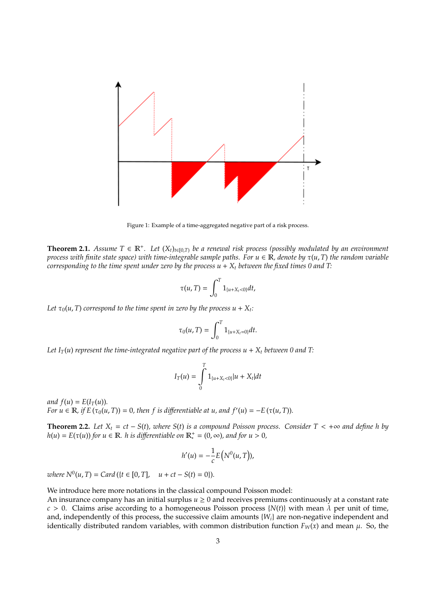

<span id="page-2-0"></span>Figure 1: Example of a time-aggregated negative part of a risk process.

**Theorem 2.1.** *Assume*  $T \in \mathbb{R}^+$ *. Let*  $(X_t)_{t \in [0,T]}$  *be a renewal risk process (possibly modulated by an environment process with finite state space) with time-integrable sample paths. For*  $u \in \mathbb{R}$ *, denote by*  $\tau(u, T)$  *the random variable corresponding to the time spent under zero by the process*  $u + X_t$  *between the fixed times 0 and T:* 

$$
\tau(u,T)=\int_0^T 1_{\{u+X_t<0\}}dt,
$$

Let  $\tau_0(u,T)$  correspond to the time spent in zero by the process  $u+X_t$ :

$$
\tau_0(u,T)=\int_0^T 1_{\{u+X_t=0\}}dt.
$$

*Let*  $I_T(u)$  *represent the time-integrated negative part of the process*  $u + X_t$  *between 0 and T:* 

$$
I_T(u) = \int_0^T 1_{\{u+X_t < 0\}} |u + X_t| dt
$$

*and*  $f(u) = E(I_T(u))$ . *For*  $u \in \mathbb{R}$ , if  $E(\tau_0(u,T)) = 0$ , then f is differentiable at u, and  $f'(u) = -E(\tau(u,T))$ .

<span id="page-2-1"></span>**Theorem 2.2.** *Let*  $X_t = ct - S(t)$ *, where*  $S(t)$  *is a compound Poisson process. Consider*  $T < +\infty$  *and define h by*  $h(u) = E(\tau(u))$  *for*  $u \in \mathbb{R}$ *. h is differentiable on*  $\mathbb{R}^+ = (0, \infty)$ *, and for*  $u > 0$ *,* 

$$
h'(u) = -\frac{1}{c}E(N^0(u,T)),
$$

 $where \ N^{0}(u, T) = Card (\{t \in [0, T], \quad u + ct - S(t) = 0\}).$ 

We introduce here more notations in the classical compound Poisson model:

An insurance company has an initial surplus *u* ≥ 0 and receives premiums continuously at a constant rate  $c > 0$ . Claims arise according to a homogeneous Poisson process  $\{N(t)\}\$  with mean  $\lambda$  per unit of time, and, independently of this process, the successive claim amounts  ${W_i}$  are non-negative independent and identically distributed random variables, with common distribution function  $F_W(x)$  and mean  $\mu$ . So, the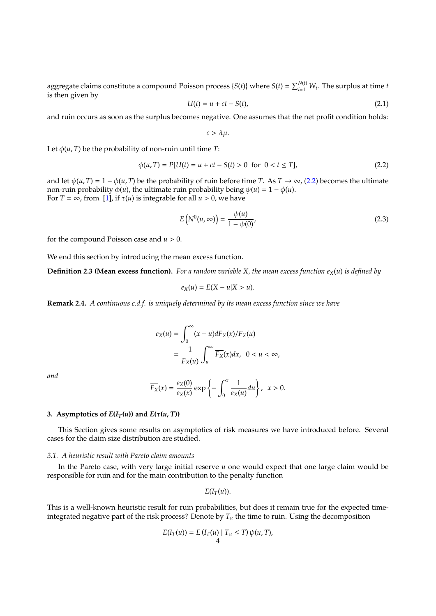aggregate claims constitute a compound Poisson process  $\{S(t)\}\$ where  $S(t) = \sum_{i=1}^{N(t)} W_i$ . The surplus at time *t* is then given by

$$
U(t) = u + ct - S(t),
$$
\n
$$
(2.1)
$$

and ruin occurs as soon as the surplus becomes negative. One assumes that the net profit condition holds:

$$
c > \lambda \mu.
$$

Let  $\phi(u, T)$  be the probability of non-ruin until time *T*:

<span id="page-3-0"></span>
$$
\phi(u, T) = P[U(t) = u + ct - S(t) > 0 \quad \text{for} \quad 0 < t \le T],\tag{2.2}
$$

and let  $\psi(u, T) = 1 - \phi(u, T)$  be the probability of ruin before time *T*. As  $T \to \infty$ , [\(2.2\)](#page-3-0) becomes the ultimate non-ruin probability  $\phi(u)$ , the ultimate ruin probability being  $\psi(u) = 1 - \phi(u)$ . For  $T = \infty$ , from [\[1\]](#page-17-0), if  $\tau(u)$  is integrable for all  $u > 0$ , we have

<span id="page-3-1"></span>
$$
E\left(N^0(u,\infty)\right) = \frac{\psi(u)}{1-\psi(0)},\tag{2.3}
$$

for the compound Poisson case and *u* > 0.

We end this section by introducing the mean excess function.

**Definition 2.3 (Mean excess function).** For a random variable X, the mean excess function  $e_X(u)$  is defined by

$$
e_X(u) = E(X - u|X > u).
$$

<span id="page-3-2"></span>**Remark 2.4.** *A continuous c.d.f. is uniquely determined by its mean excess function since we have*

$$
e_X(u) = \int_0^\infty (x - u) dF_X(x) / \overline{F_X}(u)
$$
  
= 
$$
\frac{1}{\overline{F_X}(u)} \int_u^\infty \overline{F_X}(x) dx, \quad 0 < u < \infty,
$$

*and*

$$
\overline{F_X}(x) = \frac{e_X(0)}{e_X(x)} \exp\left\{-\int_0^x \frac{1}{e_X(u)} du\right\}, \ \ x > 0.
$$

## **3.** Asymptotics of  $E(I_T(u))$  and  $E(\tau(u, T))$

This Section gives some results on asymptotics of risk measures we have introduced before. Several cases for the claim size distribution are studied.

#### *3.1. A heuristic result with Pareto claim amounts*

In the Pareto case, with very large initial reserve *u* one would expect that one large claim would be responsible for ruin and for the main contribution to the penalty function

$$
E(I_T(u)).
$$

This is a well-known heuristic result for ruin probabilities, but does it remain true for the expected timeintegrated negative part of the risk process? Denote by *T<sup>u</sup>* the time to ruin. Using the decomposition

$$
E(I_T(u)) = E(I_T(u) | T_u \leq T) \psi(u, T),
$$
4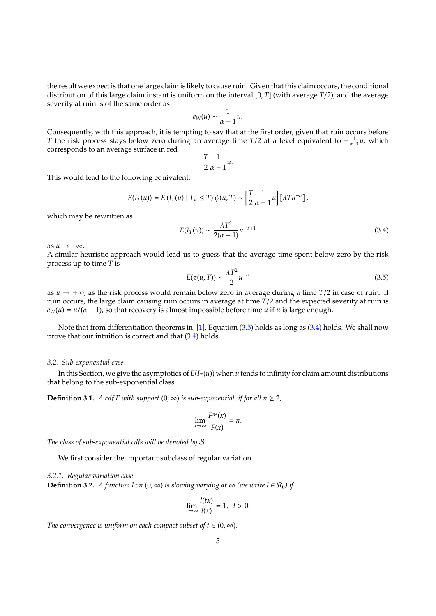the result we expect is that one large claim is likely to cause ruin. Given that this claim occurs, the conditional distribution of this large claim instant is uniform on the interval [0, *T*] (with average *T*/2), and the average severity at ruin is of the same order as

$$
e_W(u) \sim \frac{1}{\alpha - 1}u.
$$

Consequently, with this approach, it is tempting to say that at the first order, given that ruin occurs before *T* the risk process stays below zero during an average time *T*/2 at a level equivalent to  $-\frac{1}{\alpha-1}u$ , which corresponds to an average surface in red

$$
\frac{T}{2}\frac{1}{\alpha-1}u.
$$

This would lead to the following equivalent:

$$
E(I_T(u)) = E(I_T(u) | T_u \leq T) \psi(u, T) \sim \left[\frac{T}{2} \frac{1}{\alpha - 1} u\right] [\lambda T u^{-\alpha}],
$$

which may be rewritten as

<span id="page-4-1"></span>
$$
E(I_T(u)) \sim \frac{\lambda T^2}{2(\alpha - 1)} u^{-\alpha + 1} \tag{3.4}
$$

as  $u \rightarrow +\infty$ .

A similar heuristic approach would lead us to guess that the average time spent below zero by the risk process up to time *T* is

<span id="page-4-0"></span>
$$
E(\tau(u,T)) \sim \frac{\lambda T^2}{2} u^{-\alpha} \tag{3.5}
$$

as *u* → +∞, as the risk process would remain below zero in average during a time *T*/2 in case of ruin: if ruin occurs, the large claim causing ruin occurs in average at time *T*/2 and the expected severity at ruin is  $e_W(u) = u/(\alpha - 1)$ , so that recovery is almost impossible before time *u* if *u* is large enough.

Note that from differentiation theorems in [\[1\]](#page-17-0), Equation [\(3.5\)](#page-4-0) holds as long as [\(3.4\)](#page-4-1) holds. We shall now prove that our intuition is correct and that [\(3.4\)](#page-4-1) holds.

#### *3.2. Sub-exponential case*

In this Section, we give the asymptotics of  $E(I_T(u))$  when *u* tends to infinity for claim amount distributions that belong to the sub-exponential class.

**Definition 3.1.** *A cdf F with support*  $(0, \infty)$  *is sub-exponential, if for all n*  $\geq 2$ *,* 

$$
\lim_{x \to \infty} \frac{\overline{F^{n*}}(x)}{\overline{F}(x)} = n.
$$

*The class of sub-exponential cdfs will be denoted by* S*.*

We first consider the important subclass of regular variation.

# *3.2.1. Regular variation case*

**Definition 3.2.** *A function l on*  $(0, ∞)$  *is slowing varying at*  $\infty$  *(we write l*  $\in$   $\mathcal{R}_0$ *) if* 

$$
\lim_{x \to \infty} \frac{l(tx)}{l(x)} = 1, \ \ t > 0.
$$

<span id="page-4-2"></span>*The convergence is uniform on each compact subset of t*  $\in$  (0,  $\infty$ ).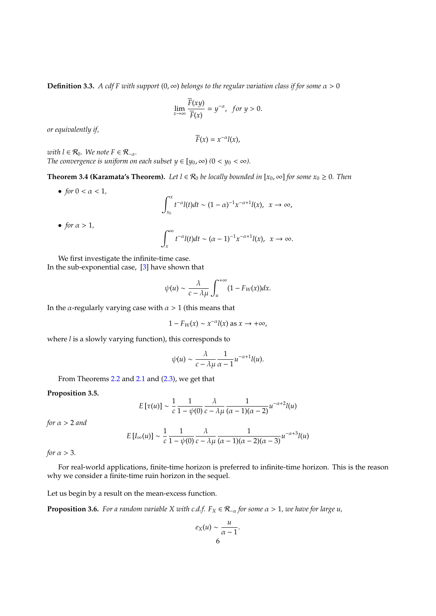**Definition 3.3.** *A cdf F with support*  $(0, \infty)$  *belongs to the regular variation class if for some*  $\alpha > 0$ 

$$
\lim_{x \to \infty} \frac{\overline{F}(xy)}{\overline{F}(x)} = y^{-\alpha}, \text{ for } y > 0.
$$

*or equivalently if,*

$$
\overline{F}(x) = x^{-\alpha} l(x),
$$

*with*  $l \in \mathcal{R}_0$ *. We note*  $F \in \mathcal{R}_{-\alpha}$ *. The convergence is uniform on each subset*  $y \in [y_0, \infty)$  $(0 < y_0 < \infty)$ *.* 

**Theorem 3.4 (Karamata's Theorem).** *Let*  $l \in \mathcal{R}_0$  *be locally bounded in* [ $x_0$ ,  $\infty$ ] *for some*  $x_0 \ge 0$ *. Then* 

• *for*  $0 < \alpha < 1$ *,* 

$$
\int_{x_0}^x t^{-\alpha} l(t) dt \sim (1-\alpha)^{-1} x^{-\alpha+1} l(x), \quad x \to \infty,
$$

• *for*  $\alpha > 1$ *,* 

$$
\int_x^{\infty} t^{-\alpha} l(t) dt \sim (\alpha - 1)^{-1} x^{-\alpha + 1} l(x), \quad x \to \infty.
$$

We first investigate the infinite-time case. In the sub-exponential case, [\[3\]](#page-17-2) have shown that

$$
\psi(u) \sim \frac{\lambda}{c - \lambda \mu} \int_u^{+\infty} (1 - F_W(x)) dx.
$$

In the *α*-regularly varying case with  $\alpha > 1$  (this means that

 $1 - F_W(x) \sim x^{-\alpha} l(x)$  as  $x \to +\infty$ ,

where *l* is a slowly varying function), this corresponds to

<span id="page-5-1"></span>
$$
\psi(u) \sim \frac{\lambda}{c - \lambda \mu} \frac{1}{\alpha - 1} u^{-\alpha + 1} l(u).
$$

From Theorems [2.2](#page-2-1) and [2.1](#page-1-0) and [\(2.3\)](#page-3-1), we get that

# **Proposition 3.5.**

$$
E\left[\tau(u)\right] \sim \frac{1}{c} \frac{1}{1-\psi(0)} \frac{\lambda}{c-\lambda\mu} \frac{1}{(\alpha-1)(\alpha-2)} u^{-\alpha+2} l(u)
$$

*for* α > 2 *and*

$$
E\left[I_{\infty}(u)\right] \sim \frac{1}{c} \frac{1}{1-\psi(0)} \frac{\lambda}{c-\lambda\mu} \frac{1}{(\alpha-1)(\alpha-2)(\alpha-3)} u^{-\alpha+3}l(u)
$$

*for*  $\alpha > 3$ *.* 

For real-world applications, finite-time horizon is preferred to infinite-time horizon. This is the reason why we consider a finite-time ruin horizon in the sequel.

Let us begin by a result on the mean-excess function.

<span id="page-5-0"></span>**Proposition 3.6.** *For a random variable X with c.d.f.*  $F_X \in \mathcal{R}_{-\alpha}$  *for some*  $\alpha > 1$ *, we have for large u,* 

$$
e_X(u) \sim \frac{u}{\alpha - 1}.
$$
6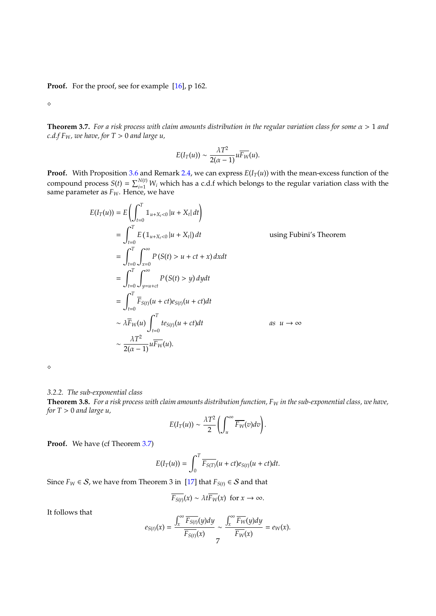**Proof.** For the proof, see for example [\[16\]](#page-17-15), p 162.

 $\Diamond$ 

<span id="page-6-0"></span>**Theorem 3.7.** *For a risk process with claim amounts distribution in the regular variation class for some* α > 1 *and c.d.f FW, we have, for T* > 0 *and large u,*

$$
E(I_T(u)) \sim \frac{\lambda T^2}{2(\alpha-1)} u \overline{F_W}(u).
$$

**Proof.** With Proposition [3.6](#page-5-0) and Remark [2.4,](#page-3-2) we can express  $E(I_T(u))$  with the mean-excess function of the compound process  $S(t) = \sum_{i=1}^{N(t)} W_i$  which has a c.d.f which belongs to the regular variation class with the same parameter as *FW*. Hence, we have

$$
E(I_T(u)) = E\left(\int_{t=0}^T \mathbb{1}_{u+X_t<0} |u+X_t| dt\right)
$$
  
\n
$$
= \int_{t=0}^T E\left(\mathbb{1}_{u+X_t<0} |u+X_t|\right) dt \qquad \text{using Fubini's Theorem}
$$
  
\n
$$
= \int_{t=0}^T \int_{x=0}^\infty P(S(t) > u + ct + x) dx dt
$$
  
\n
$$
= \int_{t=0}^T \int_{y=u+ct}^\infty P(S(t) > y) dy dt
$$
  
\n
$$
= \int_{t=0}^T \overline{F}_{S(t)}(u + ct)e_{S(t)}(u + ct)dt
$$
  
\n
$$
\sim \lambda \overline{F}_W(u) \int_{t=0}^T t e_{S(t)}(u + ct) dt \qquad \text{as } u \to \infty
$$
  
\n
$$
\sim \frac{\lambda T^2}{2(\alpha - 1)} u \overline{F}_W(u).
$$

 $\Diamond$ 

## *3.2.2. The sub-exponential class*

**Theorem 3.8.** For a risk process with claim amounts distribution function,  $F_W$  in the sub-exponential class, we have, *for T* > 0 *and large u,*

$$
E(I_T(u))\sim \frac{\lambda T^2}{2}\left(\int_u^\infty \overline{F_W}(v)dv\right).
$$

**Proof.** We have (cf Theorem [3.7\)](#page-6-0)

$$
E(I_T(u))=\int_0^T \overline{F_{S(T)}}(u+ct)e_{S(t)}(u+ct)dt.
$$

Since *F*<sup>*W*</sup> ∈ *S*, we have from Theorem 3 in [\[17\]](#page-17-16) that *F*<sub>*S*(*t*)</sub> ∈ *S* and that

$$
\overline{F_{S(t)}}(x) \sim \lambda t \overline{F_W}(x) \text{ for } x \to \infty.
$$

It follows that

$$
e_{S(t)}(x) = \frac{\int_x^{\infty} \overline{F_{S(t)}}(y) dy}{\overline{F_{S(t)}}(x)} \sim \frac{\int_x^{\infty} \overline{F_W}(y) dy}{\overline{F_W}(x)} = e_W(x).
$$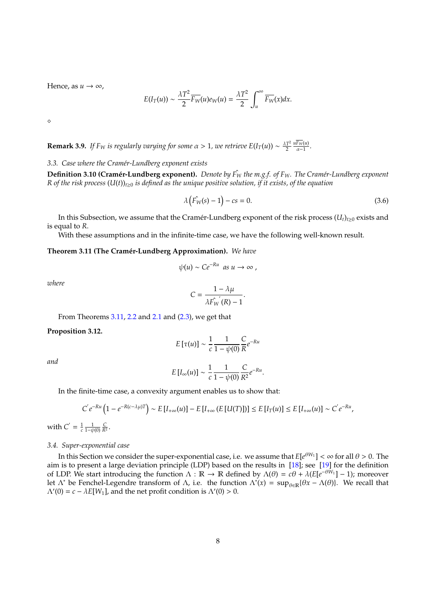Hence, as  $u \rightarrow \infty$ ,

$$
E(I_T(u)) \sim \frac{\lambda T^2}{2} \overline{F_W}(u) e_W(u) = \frac{\lambda T^2}{2} \int_u^{\infty} \overline{F_W}(x) dx.
$$

 $\Diamond$ 

**Remark 3.9.** *If*  $F_W$  *is regularly varying for some*  $\alpha > 1$ *, we retrieve*  $E(I_T(u)) \sim \frac{\lambda T^2}{2}$ 2  $\frac{uF_W(u)}{a-1}$ .

# *3.3. Case where the Cramér-Lundberg exponent exists*

**Definition 3.10 (Cramér-Lundberg exponent).** *Denote by F*ˆ*<sup>W</sup> the m.g.f. of FW. The Cramér-Lundberg exponent R of the risk process* (*U*(*t*))*t*≥<sup>0</sup> *is defined as the unique positive solution, if it exists, of the equation*

$$
\lambda \left( F_W(s) - 1 \right) - cs = 0. \tag{3.6}
$$

In this Subsection, we assume that the Cramér-Lundberg exponent of the risk process  $(U_t)_{t\geq0}$  exists and is equal to *R*.

With these assumptions and in the infinite-time case, we have the following well-known result.

## <span id="page-7-0"></span>**Theorem 3.11 (The Cramér-Lundberg Approximation).** *We have*

$$
\psi(u) \sim Ce^{-Ru} \text{ as } u \to \infty ,
$$

*where*

<span id="page-7-1"></span>
$$
C = \frac{1 - \lambda \mu}{\lambda F_W^{'}(R) - 1}.
$$

From Theorems [3.11,](#page-7-0) [2.2](#page-2-1) and [2.1](#page-1-0) and [\(2.3\)](#page-3-1), we get that

# **Proposition 3.12.**

 $E[\tau(u)] \sim \frac{1}{2}$ *c* 1  $\frac{1 - \psi(0)}{1 - \psi(0)}$ *C*  $\frac{C}{R}e^{-Ru}$ 

*and*

$$
E\left[I_{\infty}(u)\right] \sim \frac{1}{c} \frac{1}{1-\psi(0)} \frac{C}{R^2} e^{-Ru}.
$$

In the finite-time case, a convexity argument enables us to show that:

$$
C'e^{-Ru}\left(1-e^{-R(c-\lambda\mu)T}\right)\sim E\left[I_{+\infty}(u)\right]-E\left[I_{+\infty}\left(E\left[U(T)\right]\right]\right]\leq E\left[I_{T}(u)\right]\leq E\left[I_{+\infty}(u)\right]\sim C'e^{-Ru},
$$

with  $C' = \frac{1}{c} \frac{1}{1-\psi(0)} \frac{C}{R^2}$ .

#### *3.4. Super-exponential case*

In this Section we consider the super-exponential case, i.e. we assume that  $E[e^{\theta W_1}]<\infty$  for all  $\theta>0$ . The aim is to present a large deviation principle (LDP) based on the results in [\[18\]](#page-17-17); see [\[19\]](#page-17-18) for the definition of LDP. We start introducing the function  $\Lambda : \mathbb{R} \to \mathbb{R}$  defined by  $\Lambda(\theta) = c\theta + \lambda(E[e^{-\theta W_1}] - 1)$ ; moreover let  $\Lambda^*$  be Fenchel-Legendre transform of  $\Lambda$ , i.e. the function  $\Lambda^*(x) = \sup_{\theta \in \mathbb{R}} {\{\theta x - \Lambda(\theta)\}}$ . We recall that  $\Lambda'(0) = c - \lambda E[W_1]$ , and the net profit condition is  $\Lambda'(0) > 0$ .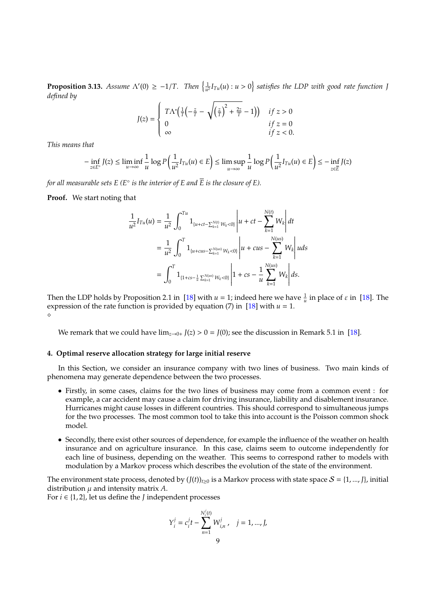**Proposition 3.13.** Assume  $\Lambda'(0) \ge -1/T$ . Then  $\left\{\frac{1}{u^2}I_{Tu}(u): u > 0\right\}$  satisfies the LDP with good rate function J *defined by*

$$
J(z) = \begin{cases} T\Lambda^* \left(\frac{1}{T} \left(-\frac{z}{T} - \sqrt{\left(\frac{z}{T}\right)^2 + \frac{2z}{T}} - 1\right)\right) & \text{if } z > 0\\ 0 & \text{if } z = 0\\ \infty & \text{if } z < 0. \end{cases}
$$

*This means that*

$$
-\inf_{z\in E^\circ} J(z) \le \liminf_{u\to\infty}\frac{1}{u}\log P\left(\frac{1}{u^2}I_{Tu}(u)\in E\right) \le \limsup_{u\to\infty}\frac{1}{u}\log P\left(\frac{1}{u^2}I_{Tu}(u)\in E\right) \le -\inf_{z\in E} J(z)
$$

*for all measurable sets E (E*◦ *is the interior of E and E is the closure of E).*

**Proof.** We start noting that

$$
\frac{1}{u^2} I_{Tu}(u) = \frac{1}{u^2} \int_0^{Tu} 1_{\{u+ct-\sum_{k=1}^{N(t)} W_k < 0\}} \left| u + ct - \sum_{k=1}^{N(t)} W_k \right| dt
$$
\n
$$
= \frac{1}{u^2} \int_0^T 1_{\{u+cts-\sum_{k=1}^{N(us)} W_k < 0\}} \left| u + cus - \sum_{k=1}^{N(us)} W_k \right| u ds
$$
\n
$$
= \int_0^T 1_{\{1+cs-\frac{1}{u}\sum_{k=1}^{N(us)} W_k < 0\}} \left| 1 + cs - \frac{1}{u} \sum_{k=1}^{N(us)} W_k \right| ds.
$$

Then the LDP holds by Proposition 2.1 in [\[18\]](#page-17-17) with  $u = 1$ ; indeed here we have  $\frac{1}{u}$  in place of  $\varepsilon$  in [18]. The expression of the rate function is provided by equation (7) in  $[18]$  with  $u = 1$ .  $\Diamond$ 

We remark that we could have  $\lim_{z\to 0+}$  *J*(*z*) > 0 = *J*(0); see the discussion in Remark 5.1 in [\[18\]](#page-17-17).

## **4. Optimal reserve allocation strategy for large initial reserve**

In this Section, we consider an insurance company with two lines of business. Two main kinds of phenomena may generate dependence between the two processes.

- Firstly, in some cases, claims for the two lines of business may come from a common event : for example, a car accident may cause a claim for driving insurance, liability and disablement insurance. Hurricanes might cause losses in different countries. This should correspond to simultaneous jumps for the two processes. The most common tool to take this into account is the Poisson common shock model.
- Secondly, there exist other sources of dependence, for example the influence of the weather on health insurance and on agriculture insurance. In this case, claims seem to outcome independently for each line of business, depending on the weather. This seems to correspond rather to models with modulation by a Markov process which describes the evolution of the state of the environment.

The environment state process, denoted by  $(J(t))_{t\geq0}$  is a Markov process with state space  $S = \{1, ..., J\}$ , initial distribution  $\mu$  and intensity matrix  $A$ .

For  $i \in \{1, 2\}$ , let us define the *J* independent processes

$$
Y_i^j = c_i^j t - \sum_{n=1}^{N_i^j(t)} W_{i,n}^j, \quad j = 1, ..., J,
$$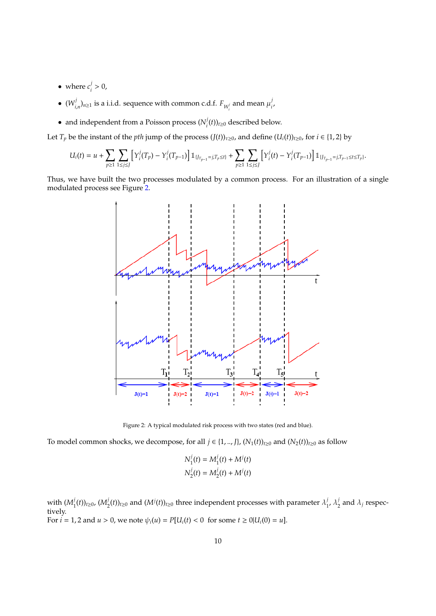- where  $c_i^j$  $i' > 0$ ,
- $\bullet$   $(W^j_i)$  $\mu^{j}_{i,n}$ )<sub>*n*≥1</sub> is a i.i.d. sequence with common c.d.f.  $F_{W^{j}_{i}}$  and mean  $\mu^{j}_{i}$ *i* ,
- and independent from a Poisson process  $(N_i^j)$  $\mathcal{F}_i'(t)$ <sub>*t*≥0</sub> described below.

Let *T<sub>p</sub>* be the instant of the *pth* jump of the process  $(J(t))_{\tau\geq0}$ , and define  $(U_i(t))_{t\geq0}$ , for  $i \in \{1,2\}$  by

$$
U_i(t) = u + \sum_{p \geq 1} \sum_{1 \leq j \leq J} \left[ Y_i^j(T_p) - Y_i^j(T_{p-1}) \right] \mathbbm{1}_{\{J_{T_{p-1}} = j, T_p \leq t\}} + \sum_{p \geq 1} \sum_{1 \leq j \leq J} \left[ Y_i^j(t) - Y_i^j(T_{p-1}) \right] \mathbbm{1}_{\{J_{T_{p-1}} = j, T_{p-1} \leq t \leq T_p\}}.
$$

Thus, we have built the two processes modulated by a common process. For an illustration of a single modulated process see Figure [2.](#page-9-0)



<span id="page-9-0"></span>Figure 2: A typical modulated risk process with two states (red and blue).

To model common shocks, we decompose, for all  $j \in \{1, ..., J\}$ ,  $(N_1(t))_{t \geq 0}$  and  $(N_2(t))_{t \geq 0}$  as follow

$$
N_1^j(t) = M_1^j(t) + M^j(t)
$$
  

$$
N_2^j(t) = M_2^j(t) + M^j(t)
$$

with  $(M_1^j)$  $j_1^j(t))_{t\geq0}$ ,  $(M_2^j)$  $\chi_2^j(t)$ <sub>*t*≥0</sub> and  $(M^j(t))_{t\geq 0}$  three independent processes with parameter  $\lambda_1^j$  $j_1^j$ ,  $\lambda_2^j$  $\frac{1}{2}$  and  $\lambda_j$  respectively. For  $i = 1, 2$  and  $u > 0$ , we note  $\psi_i(u) = P[U_i(t) < 0$  for some  $t \ge 0 | U_i(0) = u]$ .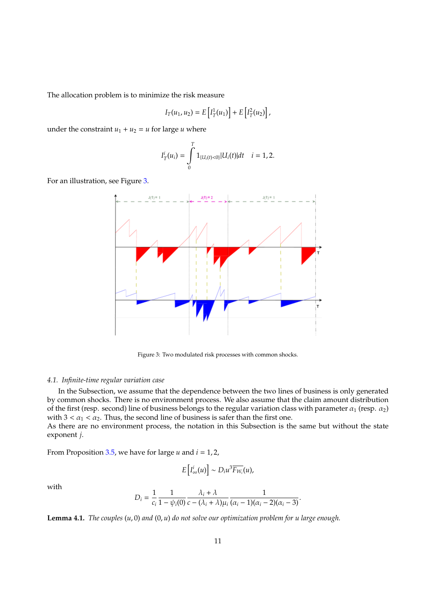The allocation problem is to minimize the risk measure

$$
I_T(u_1, u_2) = E\left[I_T^1(u_1)\right] + E\left[I_T^2(u_2)\right],
$$

under the constraint  $u_1 + u_2 = u$  for large *u* where

$$
I_T^i(u_i)=\int\limits_0^T1_{\{U_i(t)<0\}}|U_i(t)|dt\quad i=1,2.
$$

For an illustration, see Figure [3.](#page-10-0)



<span id="page-10-0"></span>Figure 3: Two modulated risk processes with common shocks.

# *4.1. Infinite-time regular variation case*

In the Subsection, we assume that the dependence between the two lines of business is only generated by common shocks. There is no environment process. We also assume that the claim amount distribution of the first (resp. second) line of business belongs to the regular variation class with parameter  $\alpha_1$  (resp.  $\alpha_2$ ) with  $3 < \alpha_1 < \alpha_2$ . Thus, the second line of business is safer than the first one.

As there are no environment process, the notation in this Subsection is the same but without the state exponent *j*.

From Proposition [3.5,](#page-5-1) we have for large *u* and *i* = 1, 2,

$$
E\left[I^i_\infty(u)\right] \sim D_i u^3 \overline{F_{W_i}}(u),
$$

with

$$
D_i=\frac{1}{c_i}\frac{1}{1-\psi_i(0)}\frac{\lambda_i+\lambda}{c-(\lambda_i+\lambda)\mu_i}\frac{1}{(\alpha_i-1)(\alpha_i-2)(\alpha_i-3)}.
$$

<span id="page-10-1"></span>**Lemma 4.1.** *The couples* (*u*, 0) *and* (0, *u*) *do not solve our optimization problem for u large enough.*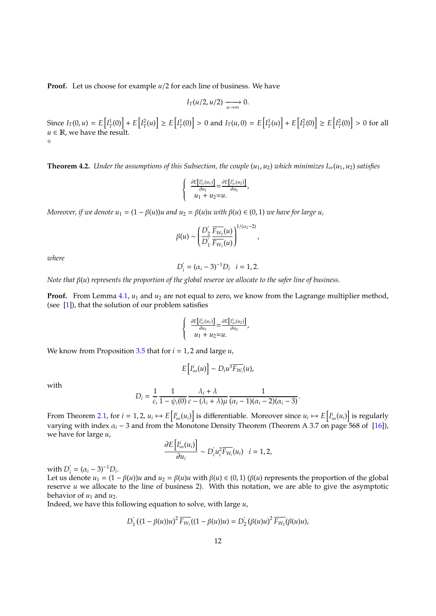**Proof.** Let us choose for example *u*/2 for each line of business. We have

$$
I_T(u/2, u/2) \xrightarrow[u \to \infty]{} 0.
$$

Since  $I_T(0, u) = E[I_T^1(0)] + E[I_T^2(u)] \ge E[I_T^1(0)] > 0$  and  $I_T(u, 0) = E[I_T^1(u)] + E[I_T^2(0)] \ge E[I_T^2(0)] > 0$  for all  $u \in \mathbb{R}$ , we have the result.  $\Diamond$ 

**Theorem 4.2.** *Under the assumptions of this Subsection, the couple*  $(u_1, u_2)$  *which minimizes*  $I_\infty(u_1, u_2)$  *satisfies* 

$$
\begin{cases} \frac{\partial E[I_{\infty}^1(u_1)]}{\partial u_1} = \frac{\partial E[I_{\infty}^1(u_2)]}{\partial u_2}, \\ u_1 + u_2 = u. \end{cases}
$$

*Moreover, if we denote*  $u_1 = (1 - \beta(u))u$  and  $u_2 = \beta(u)u$  with  $\beta(u) \in (0, 1)$  we have for large u,

$$
\beta(u) \sim \left(\frac{D_2'}{D_1'} \frac{\overline{F_{W_2}}(u)}{\overline{F_{W_1}}(u)}\right)^{1/(\alpha_2-2)},
$$

*where*

$$
D_i^{'} = (\alpha_i - 3)^{-1} D_i \quad i = 1, 2.
$$

*Note that* β(*u*) *represents the proportion of the global reserve we allocate to the safer line of business.*

**Proof.** From Lemma [4.1,](#page-10-1)  $u_1$  and  $u_2$  are not equal to zero, we know from the Lagrange multiplier method, (see [\[1\]](#page-17-0)), that the solution of our problem satisfies

$$
\begin{cases} \frac{\partial E[I_{\infty}^1(u_1)]}{\partial u_1} = \frac{\partial E[I_{\infty}^1(u_2)]}{\partial u_2}, \\ u_1 + u_2 = u. \end{cases}
$$

We know from Proposition [3.5](#page-5-1) that for *i* = 1, 2 and large *u*,

$$
E\left[I_{\infty}^i(u)\right] \sim D_i u^3 \overline{F_{W_i}}(u),
$$

with

$$
D_i=\frac{1}{c_i}\frac{1}{1-\psi_i(0)}\frac{\lambda_i+\lambda}{c-(\lambda_i+\lambda)\mu}\frac{1}{(\alpha_i-1)(\alpha_i-2)(\alpha_i-3)}.
$$

From Theorem [2.1,](#page-1-0) for  $i = 1, 2, u_i \mapsto E\left[I^i_\infty(u_i)\right]$  is differentiable. Moreover since  $u_i \mapsto E\left[I^i_\infty(u_i)\right]$  is regularly varying with index α*<sup>i</sup>* − 3 and from the Monotone Density Theorem (Theorem A 3.7 on page 568 of [\[16\]](#page-17-15)), we have for large *u*,

$$
\frac{\partial E\left[I_{\infty}^i(u_i)\right]}{\partial u_i} \sim D_i'u_i^2 \overline{F_{W_i}}(u_i) \quad i = 1, 2,
$$

with  $D^{'}_i$  $i<sub>i</sub> = (\alpha_i - 3)^{-1}D_i.$ 

Let us denote  $u_1 = (1 - \beta(u))u$  and  $u_2 = \beta(u)u$  with  $\beta(u) \in (0, 1)$  ( $\beta(u)$ ) represents the proportion of the global reserve *u* we allocate to the line of business 2). With this notation, we are able to give the asymptotic behavior of  $u_1$  and  $u_2$ .

Indeed, we have this following equation to solve, with large *u*,

$$
D'_{1}((1 - \beta(u))u)^{2} \overline{F_{W_{1}}}((1 - \beta(u))u) = D'_{2}(\beta(u)u)^{2} \overline{F_{W_{2}}}(\beta(u)u),
$$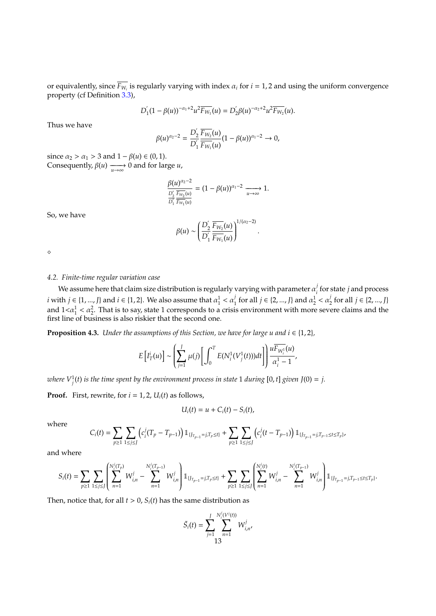or equivalently, since  $F_{W_i}$  is regularly varying with index  $\alpha_i$  for  $i = 1, 2$  and using the uniform convergence property (cf Definition [3.3\)](#page-4-2),

$$
D'_{1}(1 - \beta(u))^{-\alpha_{1}+2}u^{2}\overline{F_{W_{1}}}(u) = D'_{2}\beta(u)^{-\alpha_{2}+2}u^{2}\overline{F_{W_{2}}}(u).
$$

Thus we have

$$
\beta(u)^{\alpha_2-2} = \frac{D_2'}{D_1'} \frac{\overline{F_{W_2}}(u)}{\overline{F_{W_1}}(u)} (1 - \beta(u))^{\alpha_1-2} \to 0,
$$

since  $\alpha_2 > \alpha_1 > 3$  and  $1 - \beta(u) \in (0, 1)$ . Consequently,  $\beta(u) \xrightarrow[u \to \infty]{} 0$  and for large *u*,

$$
\frac{\beta(u)^{\alpha_2-2}}{\frac{D'_2}{D'_1}\frac{\overline{F_{W_2}(u)}}{\overline{F_{W_1}(u)}}} = (1-\beta(u))^{\alpha_1-2} \xrightarrow[u \to \infty]{} 1.
$$

So, we have

$$
\beta(u) \sim \left(\frac{D_2'}{D_1'} \frac{\overline{F_{W_2}}(u)}{\overline{F_{W_1}}(u)}\right)^{1/(\alpha_2-2)}
$$

.

 $\Diamond$ 

# *4.2. Finite-time regular variation case*

We assume here that claim size distribution is regularly varying with parameter  $\alpha_i^j$ *i* for state *j* and process *i* with  $j \in \{1, ..., J\}$  and  $i \in \{1, 2\}$ . We also assume that  $\alpha_1^1 < \alpha_1^j$  $j \atop 1$  for all  $j \in \{2, ..., J\}$  and  $\alpha_2^1 < \alpha_2^j$  $j_2^j$  for all  $j \in \{2, ..., J\}$ and  $1 < \alpha_1^2 < \alpha_2^2$ . That is to say, state 1 corresponds to a crisis environment with more severe claims and the first line of business is also riskier that the second one.

<span id="page-12-0"></span>**Proposition 4.3.** *Under the assumptions of this Section, we have for large u and i*  $\in$  {1, 2}*,* 

$$
E\left[I_T^i(u)\right] \sim \left(\sum_{j=1}^J \mu(j) \left[\int_0^T E(N_i^1(V_j^1(t)))dt\right]\right) \frac{u\overline{F_{W_i^1}}(u)}{\alpha_i^1 - 1},
$$

where  $V^1_j(t)$  is the time spent by the environment process in state 1 during [0, t] given J(0) = j.

**Proof.** First, rewrite, for  $i = 1, 2$ ,  $U_i(t)$  as follows,

$$
U_i(t) = u + C_i(t) - S_i(t),
$$

where

$$
C_i(t) = \sum_{p \geq 1} \sum_{1 \leq j \leq J} \left( c_i^j (T_p - T_{p-1}) \right) \mathbb{1}_{\{J_{T_{p-1}} = j, T_p \leq t\}} + \sum_{p \geq 1} \sum_{1 \leq j \leq J} \left( c_i^j (t - T_{p-1}) \right) \mathbb{1}_{\{J_{T_{p-1}} = j, T_{p-1} \leq t \leq T_p\}},
$$

and where

$$
S_i(t) = \sum_{p \geq 1} \sum_{1 \leq j \leq J} \left( \sum_{n=1}^{N_i^j(T_p)} W_{i,n}^j - \sum_{n=1}^{N_i^j(T_{p-1})} W_{i,n}^j \right) \mathbb{1}_{\{J_{T_{p-1}} = j, T_p \leq t\}} + \sum_{p \geq 1} \sum_{1 \leq j \leq J} \left( \sum_{n=1}^{N_i^j(t)} W_{i,n}^j - \sum_{n=1}^{N_i^j(T_{p-1})} W_{i,n}^j \right) \mathbb{1}_{\{J_{T_{p-1}} = j, T_{p-1} \leq t \leq T_p\}}.
$$

Then, notice that, for all  $t > 0$ ,  $S_i(t)$  has the same distribution as

$$
\tilde{S}_i(t) = \sum_{j=1}^J \sum_{n=1}^{N_i^j (V^j(t))} W_{i,n'}^j
$$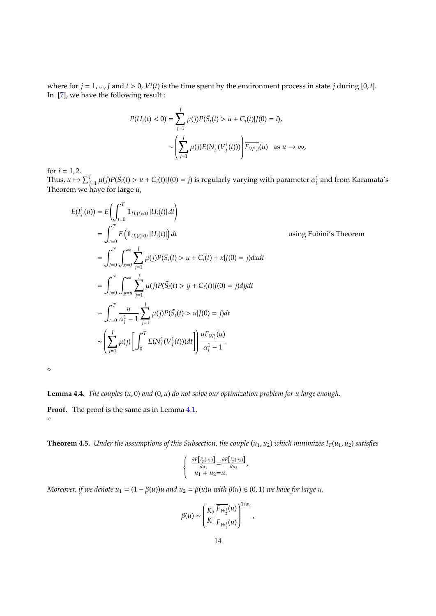where for  $j = 1, ..., J$  and  $t > 0$ ,  $V^j(t)$  is the time spent by the environment process in state *j* during [0, *t*]. In [\[7\]](#page-17-6), we have the following result :

$$
P(U_i(t) < 0) = \sum_{j=1}^J \mu(j) P(\tilde{S}_i(t) > u + C_i(t) | J(0) = i),
$$
\n
$$
\sim \left( \sum_{j=1}^J \mu(j) E(N_i^1(V_j^1(t))) \right) \overline{F_{W^1,i}}(u) \quad \text{as } u \to \infty,
$$

for  $i = 1, 2$ .

Thus,  $u \mapsto \sum_{j=1}^{J} \mu(j)P(\tilde{S}_i(t) > u + C_i(t)|J(0) = j)$  is regularly varying with parameter  $\alpha_i^1$  and from Karamata's Theorem we have for large *u*,

$$
E(I_T^i(u)) = E\left(\int_{t=0}^T \mathbb{1}_{U_i(t) < 0} |U_i(t)| \, dt\right)
$$
\n
$$
= \int_{t=0}^T E\left(\mathbb{1}_{U_i(t) < 0} |U_i(t)|\right) dt \qquad \text{using Fubini's Theorem}
$$
\n
$$
= \int_{t=0}^T \int_{x=0}^\infty \sum_{j=1}^J \mu(j) P(\tilde{S}_i(t) > u + C_i(t) + x | J(0) = j) dx dt
$$
\n
$$
= \int_{t=0}^T \int_{y=u}^\infty \sum_{j=1}^J \mu(j) P(\tilde{S}_i(t) > y + C_i(t) | J(0) = j) dy dt
$$
\n
$$
\sim \int_{t=0}^T \frac{u}{\alpha_i^1 - 1} \sum_{j=1}^J \mu(j) P(\tilde{S}_i(t) > u | J(0) = j) dt
$$
\n
$$
\sim \left(\sum_{j=1}^J \mu(j) \left[\int_0^T E(N_i^1(V_j^1(t))) dt\right] \right) \frac{u \overline{F_{W_i^1}}(u)}{\alpha_i^1 - 1}
$$

 $\Diamond$ 

 $\Diamond$ 

<span id="page-13-0"></span>**Lemma 4.4.** *The couples* (*u*, 0) *and* (0, *u*) *do not solve our optimization problem for u large enough.* **Proof.** The proof is the same as in Lemma [4.1.](#page-10-1)

**Theorem 4.5.** *Under the assumptions of this Subsection, the couple*  $(u_1, u_2)$  *which minimizes*  $I_T(u_1, u_2)$  *satisfies* 

$$
\begin{cases} \frac{\partial E[I_T^1(u_1)]}{\partial u_1} = \frac{\partial E[I_T^1(u_2)]}{\partial u_2}, \\ u_1 + u_2 = u. \end{cases}
$$

*Moreover, if we denote*  $u_1 = (1 - \beta(u))u$  and  $u_2 = \beta(u)u$  with  $\beta(u) \in (0, 1)$  we have for large u,

$$
\beta(u) \sim \left(\frac{K_2}{K_1}\frac{\overline{F_{W_2^1}}(u)}{\overline{F_{W_1^1}}(u)}\right)^{1/\alpha_2},\,
$$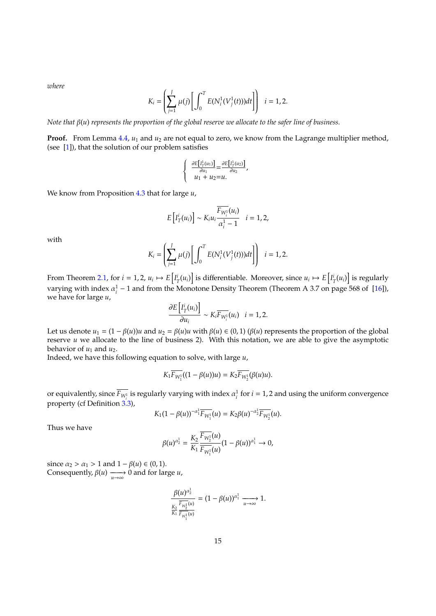*where*

$$
K_i = \left(\sum_{j=1}^J \mu(j) \left[ \int_0^T E(N_i^1(V_j^1(t))) dt \right] \right) \quad i = 1, 2.
$$

*Note that* β(*u*) *represents the proportion of the global reserve we allocate to the safer line of business.*

Proof. From Lemma [4.4,](#page-13-0)  $u_1$  and  $u_2$  are not equal to zero, we know from the Lagrange multiplier method, (see [\[1\]](#page-17-0)), that the solution of our problem satisfies

$$
\begin{cases} \frac{\partial E[I_T^1(u_1)]}{\partial u_1} = \frac{\partial E[I_T^1(u_2)]}{\partial u_2}, \\ u_1 + u_2 = u. \end{cases}
$$

We know from Proposition [4.3](#page-12-0) that for large *u*,

$$
E\left[I_T^i(u_i)\right] \sim K_iu_i\frac{\overline{F_{W_i^1}}(u_i)}{\alpha_i^1-1} \quad i=1,2,
$$

with

$$
K_i = \left(\sum_{j=1}^J \mu(j) \left[ \int_0^T E(N_i^1(V_j^1(t))) dt \right] \right) \quad i = 1, 2.
$$

From Theorem [2.1,](#page-1-0) for  $i = 1, 2, u_i \mapsto E[I_T^i(u_i)]$  is differentiable. Moreover, since  $u_i \mapsto E[I_T^i(u_i)]$  is regularly varying with index  $\alpha_i^1$  – 1 and from the Monotone Density Theorem (Theorem A 3.7 on page 568 of [\[16\]](#page-17-15)), we have for large *u*,

$$
\frac{\partial E\left[I_T^i(u_i)\right]}{\partial u_i} \sim K_i \overline{F_{W_i^1}}(u_i) \quad i = 1, 2.
$$

Let us denote  $u_1 = (1 - \beta(u))u$  and  $u_2 = \beta(u)u$  with  $\beta(u) \in (0, 1)$  ( $\beta(u)$  represents the proportion of the global reserve *u* we allocate to the line of business 2). With this notation, we are able to give the asymptotic behavior of  $u_1$  and  $u_2$ .

Indeed, we have this following equation to solve, with large *u*,

$$
K_1\overline{F_{W_1^1}}((1-\beta(u))u)=K_2\overline{F_{W_2^1}}(\beta(u)u).
$$

or equivalently, since  $\overline{F_{W_i^1}}$  is regularly varying with index  $\alpha_i^1$  for  $i = 1, 2$  and using the uniform convergence property (cf Definition [3.3\)](#page-4-2),

$$
K_1(1-\beta(u))^{-\alpha_1^1} \overline{F_{W_1^1}}(u) = K_2 \beta(u)^{-\alpha_2^1} \overline{F_{W_2^1}}(u).
$$

Thus we have

$$
\beta(u)^{\alpha_2^1} = \frac{K_2}{K_1} \frac{\overline{F_{W_2^1}}(u)}{\overline{F_{W_1^1}}(u)} (1 - \beta(u))^{\alpha_1^1} \to 0,
$$

since  $\alpha_2 > \alpha_1 > 1$  and  $1 - \beta(u) \in (0, 1)$ . Consequently,  $\beta(u) \xrightarrow[u \to \infty]{} 0$  and for large *u*,

$$
\frac{\beta(u)^{\alpha_2^1}}{\frac{K_2}{K_1}\frac{\overline{F_{w_2^1}(u)}}{\overline{F_{w_1^1}(u)}}} = (1-\beta(u))^{\alpha_1^1} \xrightarrow[u \to \infty]{} 1.
$$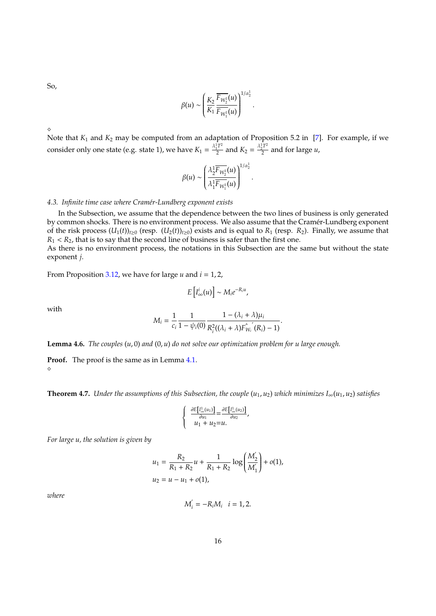So,

$$
\beta(u) \sim \left(\frac{K_2}{K_1} \frac{\overline{F_{W_2^1}}(u)}{\overline{F_{W_1^1}}(u)}\right)^{1/\alpha_2^1}.
$$

 $\Diamond$ 

Note that *K*<sup>1</sup> and *K*<sup>2</sup> may be computed from an adaptation of Proposition 5.2 in [\[7\]](#page-17-6). For example, if we consider only one state (e.g. state 1), we have  $K_1 = \frac{\lambda_1^1 T^2}{2}$  $\frac{1}{2}T^2$  and  $K_2 = \frac{\lambda_2^1 T^2}{2}$  $\frac{2^{1}}{2}$  and for large *u*,

$$
\beta(u) \sim \left(\frac{\lambda_2^1 \overline{F_{W_2^1}}(u)}{\lambda_1^1 \overline{F_{W_1^1}}(u)}\right)^{1/\alpha_2^1}.
$$

# *4.3. Infinite time case where Cramér-Lundberg exponent exists*

In the Subsection, we assume that the dependence between the two lines of business is only generated by common shocks. There is no environment process. We also assume that the Cramér-Lundberg exponent of the risk process  $(U_1(t))_{t\geq0}$  (resp.  $(U_2(t))_{t\geq0}$ ) exists and is equal to  $R_1$  (resp.  $R_2$ ). Finally, we assume that  $R_1 < R_2$ , that is to say that the second line of business is safer than the first one.

As there is no environment process, the notations in this Subsection are the same but without the state exponent *j*.

From Proposition [3.12,](#page-7-1) we have for large *u* and *i* = 1, 2,

$$
E\left[I^i_\infty(u)\right] \sim M_i e^{-R_i u},
$$

with

$$
M_{i} = \frac{1}{c_{i}} \frac{1}{1 - \psi_{i}(0)} \frac{1 - (\lambda_{i} + \lambda)\mu_{i}}{R_{i}^{2}((\lambda_{i} + \lambda)F_{W_{i}}^{'}(R_{i}) - 1)}.
$$

<span id="page-15-0"></span>**Lemma 4.6.** *The couples* (*u*, 0) *and* (0, *u*) *do not solve our optimization problem for u large enough.*

**Proof.** The proof is the same as in Lemma [4.1.](#page-10-1)  $\Diamond$ 

**Theorem 4.7.** *Under the assumptions of this Subsection, the couple*  $(u_1, u_2)$  *which minimizes*  $I_\infty(u_1, u_2)$  *satisfies* 

$$
\begin{cases} \frac{\partial E[I_{\infty}^1(u_1)]}{\partial u_1} = \frac{\partial E[I_{\infty}^1(u_2)]}{\partial u_2}, \\ u_1 + u_2 = u. \end{cases}
$$

*For large u, the solution is given by*

$$
\begin{aligned} u_1 &= \frac{R_2}{R_1+R_2}u + \frac{1}{R_1+R_2}\log\left(\frac{M_2'}{M_1'}\right) + o(1), \\ u_2 &= u-u_1+o(1), \end{aligned}
$$

*where*

$$
M_i' = -R_i M_i \quad i=1,2.
$$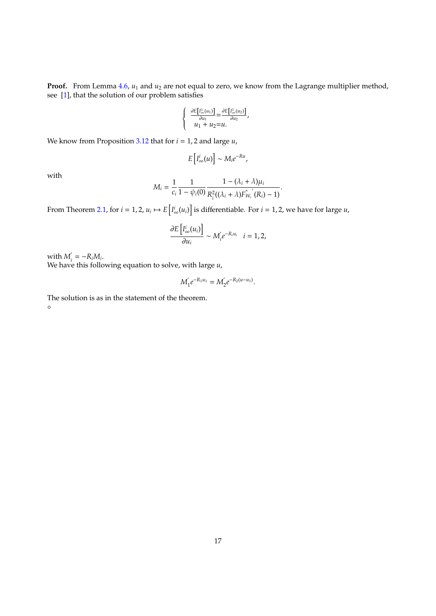**Proof.** From Lemma [4.6,](#page-15-0)  $u_1$  and  $u_2$  are not equal to zero, we know from the Lagrange multiplier method, see [\[1\]](#page-17-0), that the solution of our problem satisfies

$$
\begin{cases} \frac{\partial E[I_{\infty}^1(u_1)]}{\partial u_1} = \frac{\partial E[I_{\infty}^1(u_2)]}{\partial u_2}, \\ u_1 + u_2 = u. \end{cases}
$$

We know from Proposition [3.12](#page-7-1) that for *i* = 1, 2 and large *u*,

$$
E\left[I^i_\infty(u)\right] \sim M_i e^{-Ru},
$$

with

$$
M_{i} = \frac{1}{c_{i}} \frac{1}{1 - \psi_{i}(0)} \frac{1 - (\lambda_{i} + \lambda)\mu_{i}}{R_{i}^{2}((\lambda_{i} + \lambda)F_{W_{i}}^{'}(R_{i}) - 1)}.
$$

From Theorem [2.1,](#page-1-0) for  $i = 1, 2, u_i \mapsto E\left[I^i_\infty(u_i)\right]$  is differentiable. For  $i = 1, 2$ , we have for large *u*,

$$
\frac{\partial E\left[I_{\infty}^{i}(u_{i})\right]}{\partial u_{i}} \sim M_{i}^{'} e^{-R_{i} u_{i}} \quad i = 1, 2,
$$

with  $M'_{i}$  $i = -R_i M_i$ .

We have this following equation to solve, with large *u*,

$$
M_1'e^{-R_1u_1}=M_2'e^{-R_2(u-u_1)}.
$$

The solution is as in the statement of the theorem.  $\Diamond$